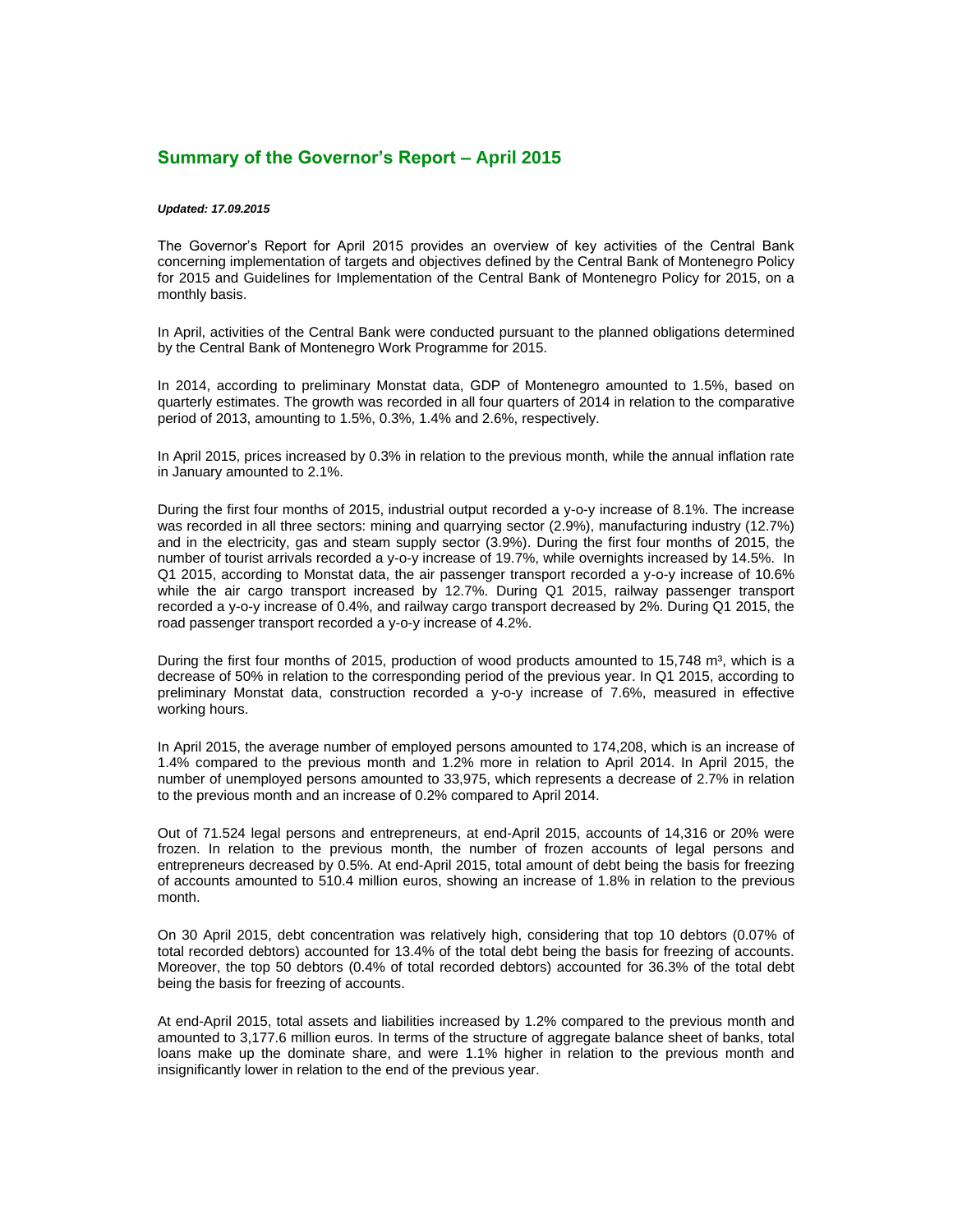## **Summary of the Governor's Report – April 2015**

## *Updated: 17.09.2015*

The Governor's Report for April 2015 provides an overview of key activities of the Central Bank concerning implementation of targets and objectives defined by the Central Bank of Montenegro Policy for 2015 and Guidelines for Implementation of the Central Bank of Montenegro Policy for 2015, on a monthly basis.

In April, activities of the Central Bank were conducted pursuant to the planned obligations determined by the Central Bank of Montenegro Work Programme for 2015.

In 2014, according to preliminary Monstat data, GDP of Montenegro amounted to 1.5%, based on quarterly estimates. The growth was recorded in all four quarters of 2014 in relation to the comparative period of 2013, amounting to 1.5%, 0.3%, 1.4% and 2.6%, respectively.

In April 2015, prices increased by 0.3% in relation to the previous month, while the annual inflation rate in January amounted to 2.1%.

During the first four months of 2015, industrial output recorded a y-o-y increase of 8.1%. The increase was recorded in all three sectors: mining and quarrying sector (2.9%), manufacturing industry (12.7%) and in the electricity, gas and steam supply sector (3.9%). During the first four months of 2015, the number of tourist arrivals recorded a y-o-y increase of 19.7%, while overnights increased by 14.5%. In Q1 2015, according to Monstat data, the air passenger transport recorded a y-o-y increase of 10.6% while the air cargo transport increased by 12.7%. During Q1 2015, railway passenger transport recorded a y-o-y increase of 0.4%, and railway cargo transport decreased by 2%. During Q1 2015, the road passenger transport recorded a y-o-y increase of 4.2%.

During the first four months of 2015, production of wood products amounted to 15,748 m<sup>3</sup>, which is a decrease of 50% in relation to the corresponding period of the previous year. In Q1 2015, according to preliminary Monstat data, construction recorded a y-o-y increase of 7.6%, measured in effective working hours.

In April 2015, the average number of employed persons amounted to 174,208, which is an increase of 1.4% compared to the previous month and 1.2% more in relation to April 2014. In April 2015, the number of unemployed persons amounted to 33,975, which represents a decrease of 2.7% in relation to the previous month and an increase of 0.2% compared to April 2014.

Out of 71.524 legal persons and entrepreneurs, at end-April 2015, accounts of 14,316 or 20% were frozen. In relation to the previous month, the number of frozen accounts of legal persons and entrepreneurs decreased by 0.5%. At end-April 2015, total amount of debt being the basis for freezing of accounts amounted to 510.4 million euros, showing an increase of 1.8% in relation to the previous month.

On 30 April 2015, debt concentration was relatively high, considering that top 10 debtors (0.07% of total recorded debtors) accounted for 13.4% of the total debt being the basis for freezing of accounts. Moreover, the top 50 debtors (0.4% of total recorded debtors) accounted for 36.3% of the total debt being the basis for freezing of accounts.

At end-April 2015, total assets and liabilities increased by 1.2% compared to the previous month and amounted to 3,177.6 million euros. In terms of the structure of aggregate balance sheet of banks, total loans make up the dominate share, and were 1.1% higher in relation to the previous month and insignificantly lower in relation to the end of the previous year.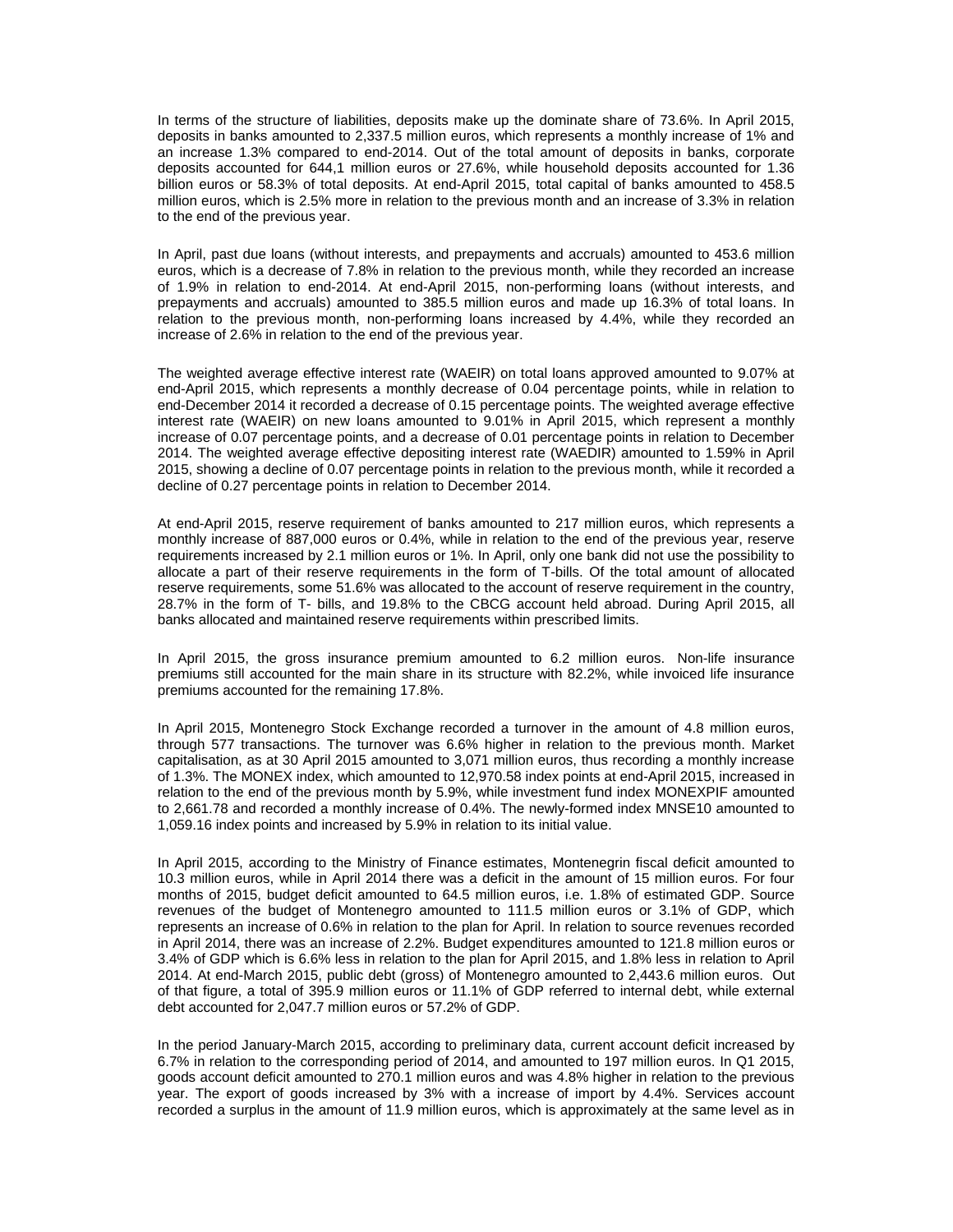In terms of the structure of liabilities, deposits make up the dominate share of 73.6%. In April 2015, deposits in banks amounted to 2,337.5 million euros, which represents a monthly increase of 1% and an increase 1.3% compared to end-2014. Out of the total amount of deposits in banks, corporate deposits accounted for 644,1 million euros or 27.6%, while household deposits accounted for 1.36 billion euros or 58.3% of total deposits. At end-April 2015, total capital of banks amounted to 458.5 million euros, which is 2.5% more in relation to the previous month and an increase of 3.3% in relation to the end of the previous year.

In April, past due loans (without interests, and prepayments and accruals) amounted to 453.6 million euros, which is a decrease of 7.8% in relation to the previous month, while they recorded an increase of 1.9% in relation to end-2014. At end-April 2015, non-performing loans (without interests, and prepayments and accruals) amounted to 385.5 million euros and made up 16.3% of total loans. In relation to the previous month, non-performing loans increased by 4.4%, while they recorded an increase of 2.6% in relation to the end of the previous year.

The weighted average effective interest rate (WAEIR) on total loans approved amounted to 9.07% at end-April 2015, which represents a monthly decrease of 0.04 percentage points, while in relation to end-December 2014 it recorded a decrease of 0.15 percentage points. The weighted average effective interest rate (WAEIR) on new loans amounted to 9.01% in April 2015, which represent a monthly increase of 0.07 percentage points, and a decrease of 0.01 percentage points in relation to December 2014. The weighted average effective depositing interest rate (WAEDIR) amounted to 1.59% in April 2015, showing a decline of 0.07 percentage points in relation to the previous month, while it recorded a decline of 0.27 percentage points in relation to December 2014.

At end-April 2015, reserve requirement of banks amounted to 217 million euros, which represents a monthly increase of 887,000 euros or 0.4%, while in relation to the end of the previous year, reserve requirements increased by 2.1 million euros or 1%. In April, only one bank did not use the possibility to allocate a part of their reserve requirements in the form of T-bills. Of the total amount of allocated reserve requirements, some 51.6% was allocated to the account of reserve requirement in the country, 28.7% in the form of T- bills, and 19.8% to the CBCG account held abroad. During April 2015, all banks allocated and maintained reserve requirements within prescribed limits.

In April 2015, the gross insurance premium amounted to 6.2 million euros. Non-life insurance premiums still accounted for the main share in its structure with 82.2%, while invoiced life insurance premiums accounted for the remaining 17.8%.

In April 2015, Montenegro Stock Exchange recorded a turnover in the amount of 4.8 million euros, through 577 transactions. The turnover was 6.6% higher in relation to the previous month. Market capitalisation, as at 30 April 2015 amounted to 3,071 million euros, thus recording a monthly increase of 1.3%. The MONEX index, which amounted to 12,970.58 index points at end-April 2015, increased in relation to the end of the previous month by 5.9%, while investment fund index MONEXPIF amounted to 2,661.78 and recorded a monthly increase of 0.4%. The newly-formed index MNSE10 amounted to 1,059.16 index points and increased by 5.9% in relation to its initial value.

In April 2015, according to the Ministry of Finance estimates, Montenegrin fiscal deficit amounted to 10.3 million euros, while in April 2014 there was a deficit in the amount of 15 million euros. For four months of 2015, budget deficit amounted to 64.5 million euros, i.e. 1.8% of estimated GDP. Source revenues of the budget of Montenegro amounted to 111.5 million euros or 3.1% of GDP, which represents an increase of 0.6% in relation to the plan for April. In relation to source revenues recorded in April 2014, there was an increase of 2.2%. Budget expenditures amounted to 121.8 million euros or 3.4% of GDP which is 6.6% less in relation to the plan for April 2015, and 1.8% less in relation to April 2014. At end-March 2015, public debt (gross) of Montenegro amounted to 2,443.6 million euros. Out of that figure, a total of 395.9 million euros or 11.1% of GDP referred to internal debt, while external debt accounted for 2,047.7 million euros or 57.2% of GDP.

In the period January-March 2015, according to preliminary data, current account deficit increased by 6.7% in relation to the corresponding period of 2014, and amounted to 197 million euros. In Q1 2015, goods account deficit amounted to 270.1 million euros and was 4.8% higher in relation to the previous year. The export of goods increased by 3% with a increase of import by 4.4%. Services account recorded a surplus in the amount of 11.9 million euros, which is approximately at the same level as in